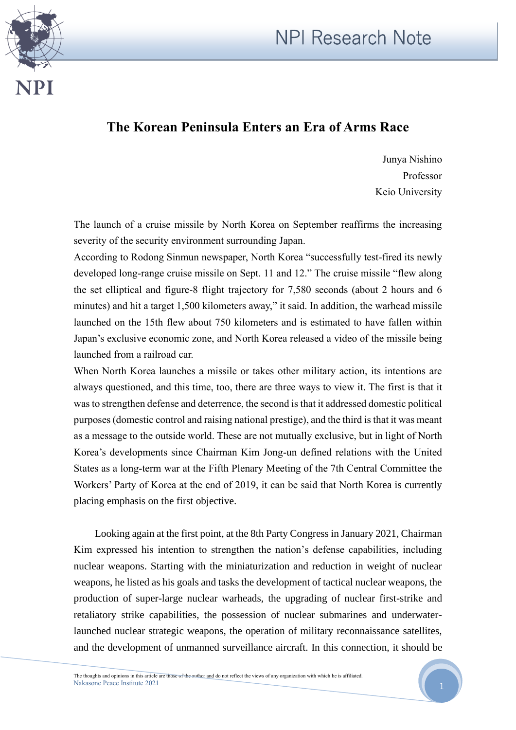



## **The Korean Peninsula Enters an Era of Arms Race**

Junya Nishino Professor Keio University

The launch of a cruise missile by North Korea on September reaffirms the increasing severity of the security environment surrounding Japan.

According to Rodong Sinmun newspaper, North Korea "successfully test-fired its newly developed long-range cruise missile on Sept. 11 and 12." The cruise missile "flew along the set elliptical and figure-8 flight trajectory for 7,580 seconds (about 2 hours and 6 minutes) and hit a target 1,500 kilometers away," it said. In addition, the warhead missile launched on the 15th flew about 750 kilometers and is estimated to have fallen within Japan's exclusive economic zone, and North Korea released a video of the missile being launched from a railroad car.

When North Korea launches a missile or takes other military action, its intentions are always questioned, and this time, too, there are three ways to view it. The first is that it was to strengthen defense and deterrence, the second is that it addressed domestic political purposes (domestic control and raising national prestige), and the third is that it was meant as a message to the outside world. These are not mutually exclusive, but in light of North Korea's developments since Chairman Kim Jong-un defined relations with the United States as a long-term war at the Fifth Plenary Meeting of the 7th Central Committee the Workers' Party of Korea at the end of 2019, it can be said that North Korea is currently placing emphasis on the first objective.

Looking again at the first point, at the 8th Party Congress in January 2021, Chairman Kim expressed his intention to strengthen the nation's defense capabilities, including nuclear weapons. Starting with the miniaturization and reduction in weight of nuclear weapons, he listed as his goals and tasks the development of tactical nuclear weapons, the production of super-large nuclear warheads, the upgrading of nuclear first-strike and retaliatory strike capabilities, the possession of nuclear submarines and underwaterlaunched nuclear strategic weapons, the operation of military reconnaissance satellites, and the development of unmanned surveillance aircraft. In this connection, it should be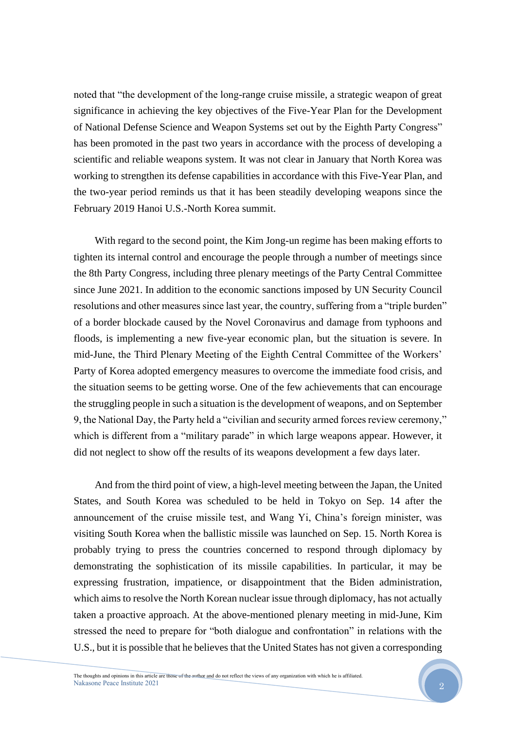noted that "the development of the long-range cruise missile, a strategic weapon of great significance in achieving the key objectives of the Five-Year Plan for the Development of National Defense Science and Weapon Systems set out by the Eighth Party Congress" has been promoted in the past two years in accordance with the process of developing a scientific and reliable weapons system. It was not clear in January that North Korea was working to strengthen its defense capabilities in accordance with this Five-Year Plan, and the two-year period reminds us that it has been steadily developing weapons since the February 2019 Hanoi U.S.-North Korea summit.

With regard to the second point, the Kim Jong-un regime has been making efforts to tighten its internal control and encourage the people through a number of meetings since the 8th Party Congress, including three plenary meetings of the Party Central Committee since June 2021. In addition to the economic sanctions imposed by UN Security Council resolutions and other measures since last year, the country, suffering from a "triple burden" of a border blockade caused by the Novel Coronavirus and damage from typhoons and floods, is implementing a new five-year economic plan, but the situation is severe. In mid-June, the Third Plenary Meeting of the Eighth Central Committee of the Workers' Party of Korea adopted emergency measures to overcome the immediate food crisis, and the situation seems to be getting worse. One of the few achievements that can encourage the struggling people in such a situation is the development of weapons, and on September 9, the National Day, the Party held a "civilian and security armed forces review ceremony," which is different from a "military parade" in which large weapons appear. However, it did not neglect to show off the results of its weapons development a few days later.

And from the third point of view, a high-level meeting between the Japan, the United States, and South Korea was scheduled to be held in Tokyo on Sep. 14 after the announcement of the cruise missile test, and Wang Yi, China's foreign minister, was visiting South Korea when the ballistic missile was launched on Sep. 15. North Korea is probably trying to press the countries concerned to respond through diplomacy by demonstrating the sophistication of its missile capabilities. In particular, it may be expressing frustration, impatience, or disappointment that the Biden administration, which aims to resolve the North Korean nuclear issue through diplomacy, has not actually taken a proactive approach. At the above-mentioned plenary meeting in mid-June, Kim stressed the need to prepare for "both dialogue and confrontation" in relations with the U.S., but it is possible that he believes that the United States has not given a corresponding

2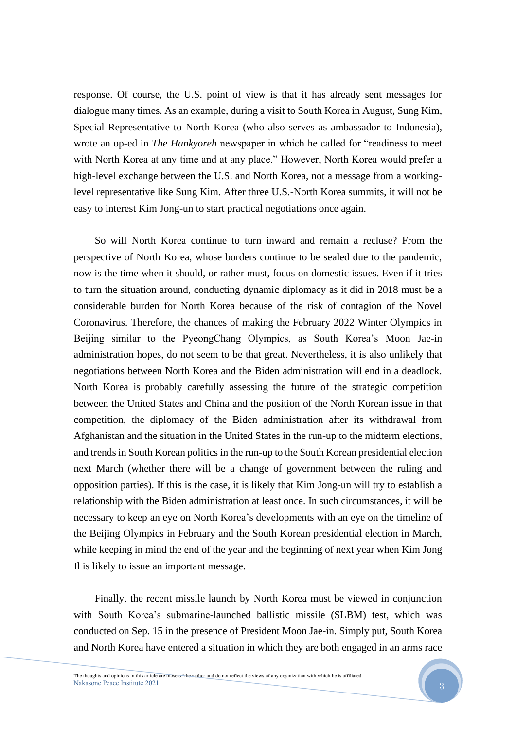response. Of course, the U.S. point of view is that it has already sent messages for dialogue many times. As an example, during a visit to South Korea in August, Sung Kim, Special Representative to North Korea (who also serves as ambassador to Indonesia), wrote an op-ed in *The Hankyoreh* newspaper in which he called for "readiness to meet with North Korea at any time and at any place." However, North Korea would prefer a high-level exchange between the U.S. and North Korea, not a message from a workinglevel representative like Sung Kim. After three U.S.-North Korea summits, it will not be easy to interest Kim Jong-un to start practical negotiations once again.

So will North Korea continue to turn inward and remain a recluse? From the perspective of North Korea, whose borders continue to be sealed due to the pandemic, now is the time when it should, or rather must, focus on domestic issues. Even if it tries to turn the situation around, conducting dynamic diplomacy as it did in 2018 must be a considerable burden for North Korea because of the risk of contagion of the Novel Coronavirus. Therefore, the chances of making the February 2022 Winter Olympics in Beijing similar to the PyeongChang Olympics, as South Korea's Moon Jae-in administration hopes, do not seem to be that great. Nevertheless, it is also unlikely that negotiations between North Korea and the Biden administration will end in a deadlock. North Korea is probably carefully assessing the future of the strategic competition between the United States and China and the position of the North Korean issue in that competition, the diplomacy of the Biden administration after its withdrawal from Afghanistan and the situation in the United States in the run-up to the midterm elections, and trends in South Korean politics in the run-up to the South Korean presidential election next March (whether there will be a change of government between the ruling and opposition parties). If this is the case, it is likely that Kim Jong-un will try to establish a relationship with the Biden administration at least once. In such circumstances, it will be necessary to keep an eye on North Korea's developments with an eye on the timeline of the Beijing Olympics in February and the South Korean presidential election in March, while keeping in mind the end of the year and the beginning of next year when Kim Jong Il is likely to issue an important message.

Finally, the recent missile launch by North Korea must be viewed in conjunction with South Korea's submarine-launched ballistic missile (SLBM) test, which was conducted on Sep. 15 in the presence of President Moon Jae-in. Simply put, South Korea and North Korea have entered a situation in which they are both engaged in an arms race